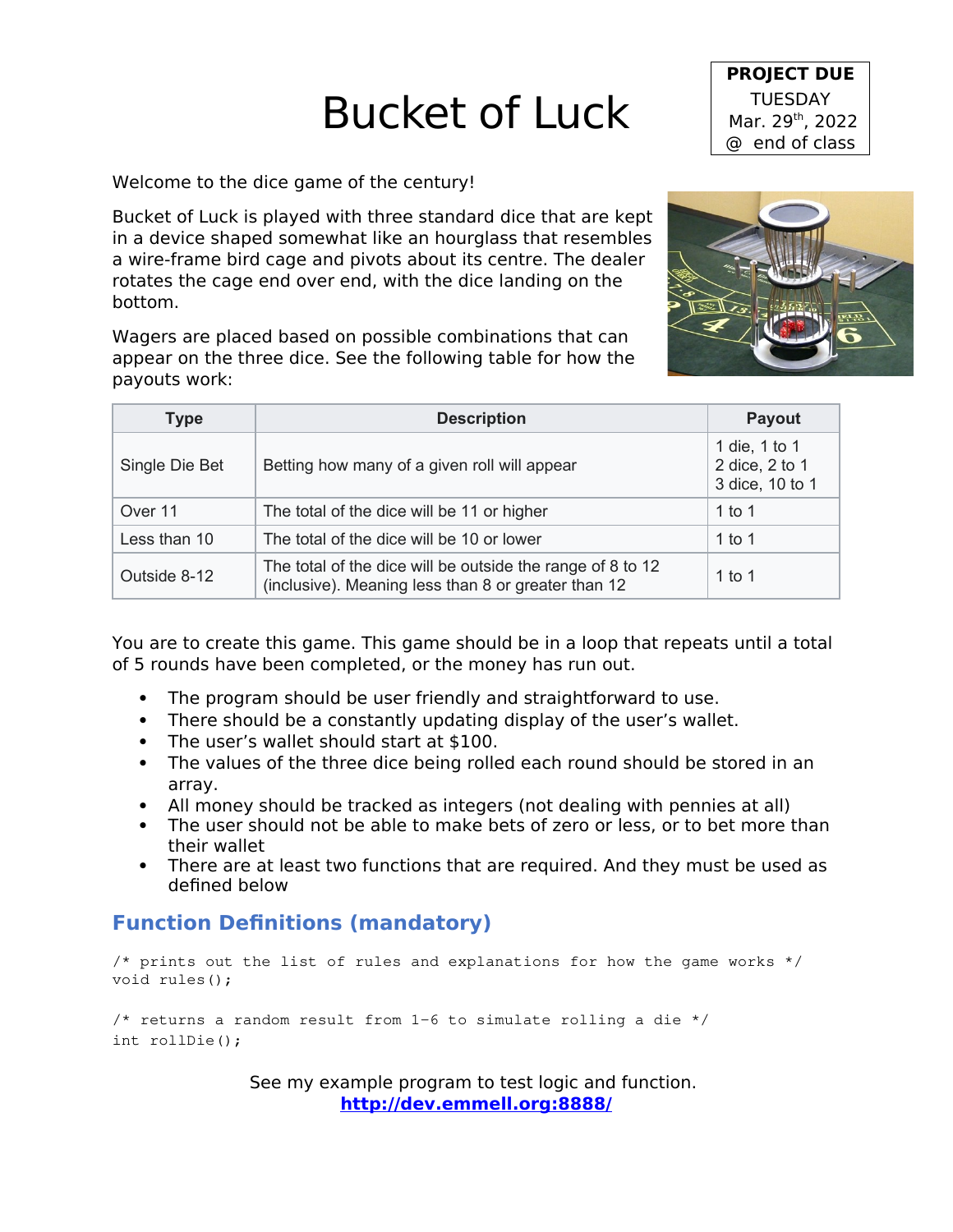## Bucket of Luck

Welcome to the dice game of the century!

Bucket of Luck is played with three standard dice that are kept in a device shaped somewhat like an hourglass that resembles a wire-frame bird cage and pivots about its centre. The dealer rotates the cage end over end, with the dice landing on the bottom.

Wagers are placed based on possible combinations that can appear on the three dice. See the following table for how the payouts work:

| <b>Type</b>    | <b>Description</b>                                                                                                | <b>Payout</b>                                      |
|----------------|-------------------------------------------------------------------------------------------------------------------|----------------------------------------------------|
| Single Die Bet | Betting how many of a given roll will appear                                                                      | 1 die, 1 to 1<br>2 dice, 2 to 1<br>3 dice, 10 to 1 |
| Over 11        | The total of the dice will be 11 or higher                                                                        | 1 to 1                                             |
| Less than 10   | The total of the dice will be 10 or lower                                                                         | 1 to 1                                             |
| Outside 8-12   | The total of the dice will be outside the range of 8 to 12<br>(inclusive). Meaning less than 8 or greater than 12 | 1 to 1                                             |

You are to create this game. This game should be in a loop that repeats until a total of 5 rounds have been completed, or the money has run out.

- The program should be user friendly and straightforward to use.
- There should be a constantly updating display of the user's wallet.
- The user's wallet should start at \$100.
- The values of the three dice being rolled each round should be stored in an array.
- All money should be tracked as integers (not dealing with pennies at all)
- The user should not be able to make bets of zero or less, or to bet more than their wallet
- There are at least two functions that are required. And they must be used as defined below

## **Function Definitions (mandatory)**

```
/* prints out the list of rules and explanations for how the game works */void rules();
```

```
\frac{*}{*} returns a random result from 1-6 to simulate rolling a die */int rollDie();
```
See my example program to test logic and function. **<http://dev.emmell.org:8888/>**



**PROJECT DUE TUESDAY** Mar. 29<sup>th</sup>, 2022 @ end of class